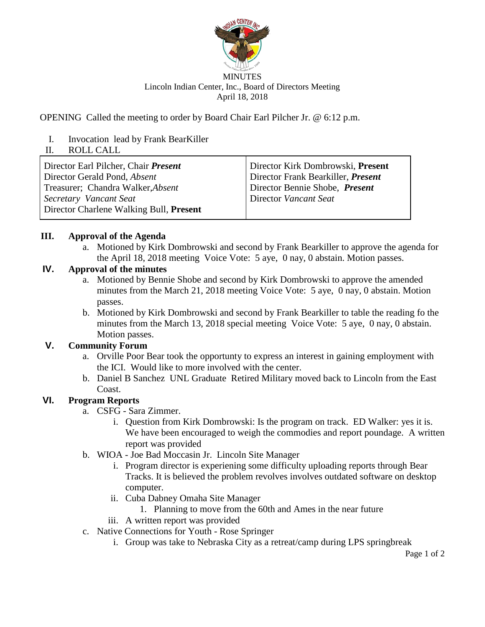

#### MINUTES Lincoln Indian Center, Inc., Board of Directors Meeting April 18, 2018

OPENING Called the meeting to order by Board Chair Earl Pilcher Jr. @ 6:12 p.m.

I. Invocation lead by Frank BearKiller

### II. ROLL CALL

Director Earl Pilcher, Chair *Present* Director Gerald Pond, *Absent*  Treasurer; Chandra Walker,*Absent Secretary Vancant Seat* Director Charlene Walking Bull, **Present** Director Kirk Dombrowski, **Present** Director Frank Bearkiller, *Present* Director Bennie Shobe, *Present* Director *Vancant Seat*

#### **III. Approval of the Agenda**

a. Motioned by Kirk Dombrowski and second by Frank Bearkiller to approve the agenda for the April 18, 2018 meeting Voice Vote: 5 aye, 0 nay, 0 abstain. Motion passes.

## **IV. Approval of the minutes**

- a. Motioned by Bennie Shobe and second by Kirk Dombrowski to approve the amended minutes from the March 21, 2018 meeting Voice Vote: 5 aye, 0 nay, 0 abstain. Motion passes.
- b. Motioned by Kirk Dombrowski and second by Frank Bearkiller to table the reading fo the minutes from the March 13, 2018 special meeting Voice Vote: 5 aye, 0 nay, 0 abstain. Motion passes.

# **V. Community Forum**

- a. Orville Poor Bear took the opportunty to express an interest in gaining employment with the ICI. Would like to more involved with the center.
- b. Daniel B Sanchez UNL Graduate Retired Military moved back to Lincoln from the East Coast.

# **VI. Program Reports**

- a. CSFG Sara Zimmer.
	- i. Question from Kirk Dombrowski: Is the program on track. ED Walker: yes it is. We have been encouraged to weigh the commodies and report poundage. A written report was provided
- b. WIOA Joe Bad Moccasin Jr. Lincoln Site Manager
	- i. Program director is experiening some difficulty uploading reports through Bear Tracks. It is believed the problem revolves involves outdated software on desktop computer.
	- ii. Cuba Dabney Omaha Site Manager
		- 1. Planning to move from the 60th and Ames in the near future
	- iii. A written report was provided
- c. Native Connections for Youth Rose Springer
	- i. Group was take to Nebraska City as a retreat/camp during LPS springbreak